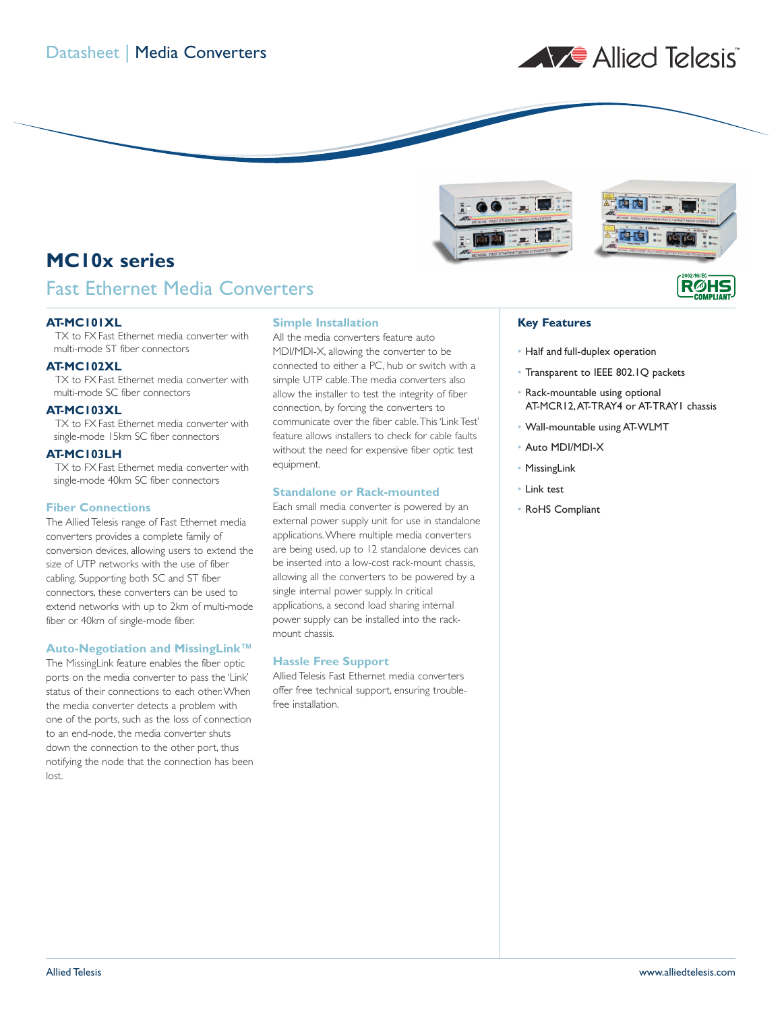



# **MC10x series**

### Fast Ethernet Media Converters

#### **AT-MC101XL**

TX to FX Fast Ethernet media converter with multi-mode ST fiber connectors

### **AT-MC102XL**

TX to FX Fast Ethernet media converter with multi-mode SC fiber connectors

#### **AT-MC103XL**

TX to FX Fast Ethernet media converter with single-mode 15km SC fiber connectors

#### **AT-MC103LH**

TX to FX Fast Ethernet media converter with single-mode 40km SC fiber connectors

#### **Fiber Connections**

The Allied Telesis range of Fast Ethernet media converters provides a complete family of conversion devices, allowing users to extend the size of UTP networks with the use of fiber cabling. Supporting both SC and ST fiber connectors, these converters can be used to extend networks with up to 2km of multi-mode fiber or 40km of single-mode fiber.

#### **Auto-Negotiation and MissingLink™**

The MissingLink feature enables the fiber optic ports on the media converter to pass the 'Link' status of their connections to each other.When the media converter detects a problem with one of the ports, such as the loss of connection to an end-node, the media converter shuts down the connection to the other port, thus notifying the node that the connection has been lost.

#### **Simple Installation**

All the media converters feature auto MDI/MDI-X, allowing the converter to be connected to either a PC, hub or switch with a simple UTP cable.The media converters also allow the installer to test the integrity of fiber connection, by forcing the converters to communicate over the fiber cable.This 'Link Test' feature allows installers to check for cable faults without the need for expensive fiber optic test equipment.

#### **Standalone or Rack-mounted**

Each small media converter is powered by an external power supply unit for use in standalone applications.Where multiple media converters are being used, up to 12 standalone devices can be inserted into a low-cost rack-mount chassis, allowing all the converters to be powered by a single internal power supply. In critical applications, a second load sharing internal power supply can be installed into the rackmount chassis.

#### **Hassle Free Support**

Allied Telesis Fast Ethernet media converters offer free technical support, ensuring troublefree installation.

### **Key Features**

- Half and full-duplex operation
- Transparent to IEEE 802.1Q packets
- Rack-mountable using optional AT-MCR12,AT-TRAY4 or AT-TRAY1 chassis

**R**ØHS

- Wall-mountable using AT-WLMT
- Auto MDI/MDI-X
- MissingLink
- Link test
- RoHS Compliant